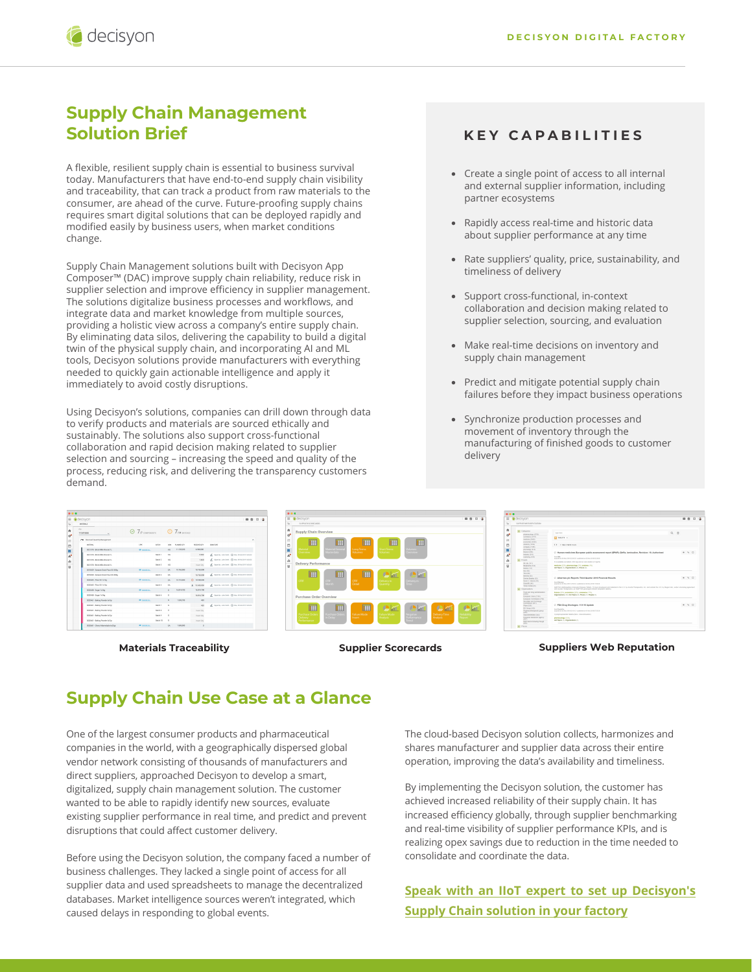## **Supply Chain Management Solution Brief**

decisyon

A flexible, resilient supply chain is essential to business survival today. Manufacturers that have end-to-end supply chain visibility and traceability, that can track a product from raw materials to the consumer, are ahead of the curve. Future-proofing supply chains requires smart digital solutions that can be deployed rapidly and modified easily by business users, when market conditions change.

Supply Chain Management solutions built with Decisyon App Composer™ (DAC) improve supply chain reliability, reduce risk in supplier selection and improve efficiency in supplier management. The solutions digitalize business processes and workflows, and integrate data and market knowledge from multiple sources, providing a holistic view across a company's entire supply chain. By eliminating data silos, delivering the capability to build a digital twin of the physical supply chain, and incorporating AI and ML tools, Decisyon solutions provide manufacturers with everything needed to quickly gain actionable intelligence and apply it immediately to avoid costly disruptions.

Using Decisyon's solutions, companies can drill down through data to verify products and materials are sourced ethically and sustainably. The solutions also support cross-functional collaboration and rapid decision making related to supplier selection and sourcing – increasing the speed and quality of the process, reducing risk, and delivering the transparency customers demand.

 $\bullet\bullet\bullet$ 

### **KEY CAPABILITIES**

- Create a single point of access to all internal and external supplier information, including partner ecosystems
- Rapidly access real-time and historic data about supplier performance at any time
- Rate suppliers' quality, price, sustainability, and timeliness of delivery
- Support cross-functional, in-context collaboration and decision making related to supplier selection, sourcing, and evaluation
- Make real-time decisions on inventory and supply chain management
- Predict and mitigate potential supply chain failures before they impact business operations
- Synchronize production processes and movement of inventory through the manufacturing of finished goods to customer delivery

| decisyon                                |        |                        |               |           |                                                         |                    |              |                                         | 自身日は |
|-----------------------------------------|--------|------------------------|---------------|-----------|---------------------------------------------------------|--------------------|--------------|-----------------------------------------|------|
| <b>MATERIALS</b>                        |        |                        |               |           |                                                         |                    |              |                                         |      |
| PO.<br>11241555                         | $\sim$ |                        |               |           | $\odot$ 7 $\sigma$ compared $\odot$ 7 $\sigma$ $\sigma$ |                    |              |                                         |      |
| <b>CE</b> Received Quantity Management  |        |                        |               |           |                                                         |                    |              |                                         | ×    |
| <b>BANNA</b>                            |        | LINK                   | sep-          | UD4       | <b>RANGO</b> TY                                         | <b>MISSING OFF</b> | <b>SOMAN</b> |                                         |      |
| 0021279 - Brick Milk Almond VL          |        | <b>WILDOLF</b>         |               | kS.       | 11135250                                                | 6.968.890          |              |                                         |      |
| 307123-Roy Mik Moond V.                 |        |                        | <b>Bank 1</b> | k5        |                                                         | 5,500              |              | A spotsconson Q suctionments            |      |
| 3021279 - Brick Milk Almond VL          |        |                        | <b>Babb 2</b> | xz.       |                                                         | 1,460              |              | A Spolly Johnson @ No.1096 2011 12:31   |      |
| 3021379 - Brick Milk Almond V.          |        |                        | <b>BAN X</b>  | xz.       |                                                         | Insert Dy          |              | A Spotly Johnson @ Bocht Administration |      |
| 3016429 - Service Grain Flour GS-Miller |        | <b>CO</b> material inc |               | <b>BA</b> | 16,760,000                                              | 18,765,000         |              |                                         |      |
| 3218429 - Searen Srain Flour GE 520x    |        |                        | <b>Bank 4</b> | <b>IA</b> |                                                         | 13,362,000         |              | ₹ Spelly Johnson © No.111620115311      |      |
| 3020445 - Fleur 00 To'lling             |        | <b>WILDOLDS</b>        |               | <b>EA</b> | 18,730,000                                              | 0.18,00000         |              |                                         |      |
| 3930465 - Phour 08 Turthq               |        |                        | <b>Bakk X</b> | <b>IA</b> |                                                         | 4 13,500,000       |              | L Spatia alebon @ No. 1116 2011 1233    |      |
| 3020418 - Dunar Telling                 |        | <b>COMMA</b>           |               | $\alpha$  | 16.614.798                                              | 15,814,700         |              |                                         |      |
| 2020-038 - Busine Technic               |        |                        | <b>Babb 6</b> | o         |                                                         | 16814300           |              | L Spally Johnson @ Me, 18 ha 2011 1930  |      |
| 3020440 - Raking Penalar Ke7an          |        | <b>WILDOLF</b>         |               | $\circ$   | 1,999,790                                               | <b>ANY</b>         |              |                                         |      |
| 3020401 - Baltima Penedar Sc7ar         |        |                        | <b>Babb 7</b> | $\alpha$  |                                                         | 400                |              | L Spally Johnson @ Mr. 11 to 2011 12:53 |      |
| 3020400 - Baltima Penedar Bellar        |        |                        | <b>BAA1</b>   | $\circ$   |                                                         | Insert Dy          |              |                                         |      |
| 3020400 - Baltima Powdar Bolhar         |        |                        | <b>BAAY</b>   | $\circ$   |                                                         | Insert Dry         |              |                                         |      |
| 1020441 - Baltimo Penedor As/Ver        |        |                        | <b>BAA 10</b> | n.        |                                                         | Imert Dy           |              |                                         |      |
| 3020441 - Dierry Marmstade Sc2Ser       |        | <b>WILDOLDS</b>        |               | n.        | 1,985,000                                               | ×                  |              |                                         |      |
|                                         |        |                        | $-1000$       |           |                                                         |                    |              |                                         |      |

| Ξ                                                      | decisyon                                                  |                                         |                                    |                                         |                                            |                                                  | n<br>10.10<br>中                  |  |  |  |  |  |
|--------------------------------------------------------|-----------------------------------------------------------|-----------------------------------------|------------------------------------|-----------------------------------------|--------------------------------------------|--------------------------------------------------|----------------------------------|--|--|--|--|--|
| L,                                                     | <b>NEWSFILM</b>                                           |                                         |                                    |                                         |                                            |                                                  |                                  |  |  |  |  |  |
| ň<br>æ                                                 | Supply Chain Overview                                     |                                         |                                    |                                         |                                            |                                                  |                                  |  |  |  |  |  |
| 回<br>ö<br>n<br>A <sup>0</sup><br>di.<br>$\overline{H}$ | Ħ<br>Material<br>Overview.<br><b>Delivery Performance</b> | ▦<br>Material General<br>Masterdata     | Ħ<br>Long Terms<br><b>Volumes</b>  | m<br>Short Terms<br>Volumes :           | ▦<br>Volumes<br>Overview                   |                                                  |                                  |  |  |  |  |  |
|                                                        | H<br>ons.                                                 | 噩<br>OTE<br>Month                       | 亜<br>OTE<br>Detail                 | $\sim$ 60<br>Delivery in<br>Quantity.   | Kall.<br>Delivery in<br>me.                |                                                  |                                  |  |  |  |  |  |
|                                                        | Purchase Order Overview                                   |                                         |                                    |                                         |                                            |                                                  |                                  |  |  |  |  |  |
|                                                        | ▦<br><b>Purchase Orders</b><br>Delivery.<br>Performance:  | ▦<br><b>Purchase Orders</b><br>in Delby | Ш<br>Failure Mode<br><b>Insert</b> | <b>ALL</b><br>Failure Mode<br>Analysis. | a kati<br>Negative<br>Performance<br>Trend | $\omega$ and<br>Delivery Time<br><b>Analysis</b> | ю<br><b>Relateday</b><br>Report: |  |  |  |  |  |

#### **Materials Traceability Supplier Scorecards Suppliers Web Reputation**

 $\sim$   $\sim$   $\sim$ 

 $\rightarrow$  5.0

 $-50$ 

## **Supply Chain Use Case at a Glance**

One of the largest consumer products and pharmaceutical companies in the world, with a geographically dispersed global vendor network consisting of thousands of manufacturers and direct suppliers, approached Decisyon to develop a smart, digitalized, supply chain management solution. The customer wanted to be able to rapidly identify new sources, evaluate existing supplier performance in real time, and predict and prevent disruptions that could affect customer delivery.

Before using the Decisyon solution, the company faced a number of business challenges. They lacked a single point of access for all supplier data and used spreadsheets to manage the decentralized databases. Market intelligence sources weren't integrated, which caused delays in responding to global events.

The cloud-based Decisyon solution collects, harmonizes and shares manufacturer and supplier data across their entire operation, improving the data's availability and timeliness.

 $\mathbf{z}_1 \equiv \mathbf{b}_1 \boxplus \mathbf{G} \boxplus \mathbf{c}_2 \cong \mathbf{c}_1$ 

By implementing the Decisyon solution, the customer has achieved increased reliability of their supply chain. It has increased efficiency globally, through supplier benchmarking and real-time visibility of supplier performance KPIs, and is realizing opex savings due to reduction in the time needed to consolidate and coordinate the data.

## **[Speak with an IIoT expert to set up Decisyon](https://decisyon.com/contact-us/)'s Supply Chain solution in your factory**